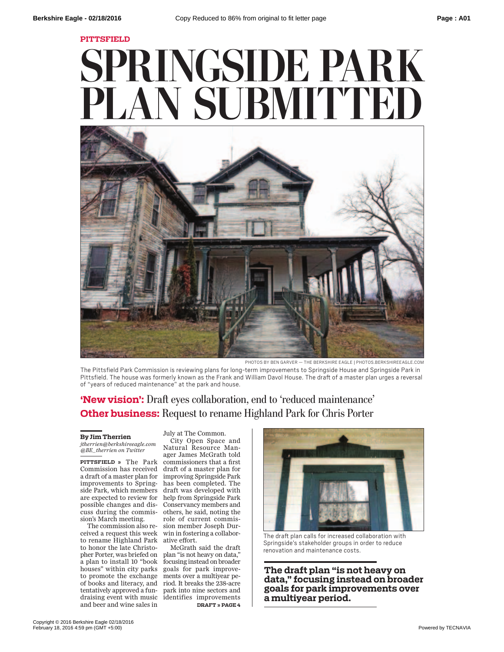**PITTSFIELD**

## **SPRINGSIDE PARK PLAN SUBMITTED**



PHOTOS BY BEN GARVER — THE BERKSHIRE EAGLE | PHOTOS.BERKSHIREEAGLE.COM

The Pittsfield Park Commission is reviewing plans for long-term improvements to Springside House and Springside Park in Pittsfield. The house was formerly known as the Frank and William Davol House. The draft of a master plan urges a reversal of "years of reduced maintenance" at the park and house.

## **'New vision':** Draft eyes collaboration, end to 'reduced maintenance' **Other business:** Request to rename Highland Park for Chris Porter

## **By Jim Therrien**

*jtherrien@berkshireeagle.com @BE\_therrien on Twitter*

**PITTSFIELD »** The Park Commission has received a draft of a master plan for improving Springside Park improvements to Spring-has been completed. The side Park, which members are expected to review for help from Springside Park possible changes and discuss during the commis-others, he said, noting the sion's March meeting.

ceived a request this week win in fostering a collaborto rename Highland Park ative effort. to honor the late Christohouses" within city parks tentatively approved a funand beer and wine sales in

The commission also re-sion member Joseph Dur-July at The Common. City Open Space and Natural Resource Manager James McGrath told commissioners that a first draft of a master plan for draft was developed with Conservancy members and role of current commis-

pher Porter, was briefed on plan "is not heavy on data," a plan to install 10 "book focusing instead on broader to promote the exchange ments over a multiyear peof books and literacy, and riod. It breaks the 238-acre draising event with music identifies improvements McGrath said the draft goals for park improvepark into nine sectors and **DRAFT » PAGE 4**



The draft plan calls for increased collaboration with Springside's stakeholder groups in order to reduce renovation and maintenance costs.

**The draft plan "is not heavy on data," focusing instead on broader goals for park improvements over a multiyear period.**